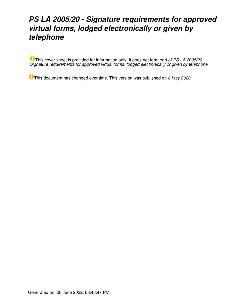# *PS LA 2005/20 - Signature requirements for approved virtual forms, lodged electronically or given by telephone*

This cover sheet is provided for information only. It does not form part of *PS LA 2005/20 - Signature requirements for approved virtual forms, lodged electronically or given by telephone*

This document has changed over time. This version was published on *6 May 2020*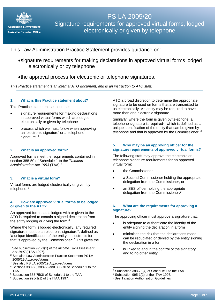

## PS LA 2005/20 Signature requirements for approved virtual forms, lodged electronically or given by telephone

## This Law Administration Practice Statement provides guidance on:

- •signature requirements for making declarations in approved virtual forms lodged electronically or by telephone
- •the approval process for electronic or telephone signatures.

*This Practice statement is an internal ATO document, and is an instruction to ATO staff.*

#### **1. What is this Practice statement about?**

This Practice statement sets out the:

- signature requirements for making declarations in approved virtual forms which are lodged electronically or given by telephone
- process which we must follow when approving an 'electronic signature' or a 'telephone signature'. [1](#page-1-0)

#### **2. What is an approved form?**

Approved forms meet the requirements contained in section 388-50 of Schedule 1 to the *Taxation Administration Act 1953* (TAA). [2](#page-1-1)

#### **3. What is a virtual form?**

Virtual forms are lodged electronically or given by telephone.<sup>[3](#page-1-2)</sup>

#### **4. How are approved virtual forms to be lodged or given to the ATO?**

An approved form that is lodged with or given to the ATO is required to contain a signed declaration from the entity lodging or giving the form. [4](#page-1-3)

Where the form is lodged electronically, any required signature must be an electronic signature<sup>[5](#page-1-4)</sup>, defined as 'a unique identification of the entity in electronic form that is approved by the Commissioner'. [6](#page-1-5) This gives the

- <span id="page-1-3"></span> $4$  Sections 388-60, 388-65 and 388-70 of Schedule 1 to the TAA.
- <span id="page-1-6"></span><span id="page-1-4"></span><sup>5</sup> Subsection 388-75(3) of Schedule 1 to the TAA.

ATO a broad discretion to determine the appropriate signature to be used on forms that are transmitted to us electronically. An entity may be required to have more than one electronic signature.

Similarly, where the form is given by telephone, a telephone signature is required<sup>7</sup>, which is defined as 'a unique identification of the entity that can be given by telephone and that is approved by the Commissioner'.<sup>[8](#page-1-4)</sup>

#### **5. Who may be an approving officer for the signature requirements of approved virtual forms?**

The following staff may approve the electronic or telephone signature requirements for an approved virtual form:

- the Commissioner
- a Second Commissioner holding the appropriate delegation from the Commissioner, or
- an SES officer holding the appropriate delegation from the Commissioner.<sup>[9](#page-1-5)</sup>

#### **6. What are the requirements for approving a signature?**

The approving officer must approve a signature that:

- is adequate to authenticate the identity of the entity signing the declaration in a form
- minimises the risk that the declarations made can be repudiated or denied by the entity signing the declaration in a form
- is linked to and in the control of the signatory and to no other entity.

<span id="page-1-0"></span><sup>1</sup> See subsection 995-1(1) of the *Income Tax Assessment Act 1997* (ITAA 1997).

<span id="page-1-1"></span><sup>&</sup>lt;sup>2</sup> See also Law Administration Practice Statement PS LA 2005/19 *Approved forms.*

<span id="page-1-2"></span><sup>3</sup> See also PS LA 2005/19 *Approved forms*.

<span id="page-1-5"></span> $6$  Subsection 995-1(1) of the ITAA 1997.

<sup>7</sup> Subsection 388-75(4) of Schedule 1 to the TAA.

 $8$  Subsection 995-1(1) of the ITAA 1997.

<sup>&</sup>lt;sup>9</sup> See Taxation Authorisation Guidelines.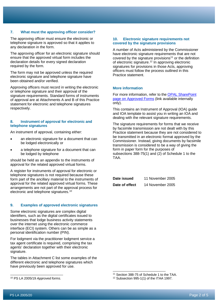#### **7. What must the approving officer consider?**

The approving officer must ensure the electronic or telephone signature is approved so that it applies to any declaration in the form.

The approving officer for an electronic signature should ensure that the approved virtual form includes the declaration details for every signed declaration required by the form.

The form may not be approved unless the required electronic signature and telephone signature have been obtained and/or verified.

Approving officers must record in writing the electronic or telephone signature and their approval of the signature requirements. Standard forms of instruments of approval are at Attachments A and B of this Practice statement for electronic and telephone signatures respectively.

#### **8. Instrument of approval for electronic and telephone signatures**

An instrument of approval, containing either:

- an electronic signature for a document that can be lodged electronically or
- a telephone signature for a document that can be lodged by telephone

should be held as an appendix to the instruments of approval for the related approved virtual forms.

A register for instruments of approval for electronic or telephone signatures is not required because these form part of the ancillary material to the instruments of approval for the related approved virtual forms. These arrangements are not part of the approval process for electronic and telephone signatures.[10](#page-2-0)

#### **9. Examples of approved electronic signatures**

Some electronic signatures are complex digital identifiers, such as the digital certificates issued to businesses that lodge business activity statements over the internet using the electronic commerce interface (ECI) system. Others can be as simple as a personal identification number (PIN).

For lodgment via the practitioner lodgment service a tax agent certificate is required, comprising the tax agents' declaration together with their electronic signature.

The tables in Attachment C list some examples of the different electronic and telephone signatures which have previously been approved for use.

#### **10. Electronic signature requirements not covered by the signature provisions**

A number of Acts administered by the Commissioner have electronic signature requirements that are not covered by the signature provisions<sup>[11](#page-2-1)</sup> or the definition of electronic signature.<sup>[12](#page-2-0)</sup> In approving electronic signatures for provisions in those Acts, approving officers must follow the process outlined in this Practice statement.

#### **More information**

For more information, refer to the [OPAL SharePoint](http://sharepoint/GASites/ServiceDelivery/OPAL_pages/Approved_Forms.aspx)  [page on Approved Forms](http://sharepoint/GASites/ServiceDelivery/OPAL_pages/Approved_Forms.aspx) (link available internally only).

This contains an Instrument of Approval (IOA) guide and IOA template to assist you in writing an IOA and dealing with the relevant signature requirements.

The signature requirements for forms that we receive by facsimile transmission are not dealt with by this Practice statement because they are not considered to be transmitted in an electronic format approved by the Commissioner. Instead, giving documents by facsimile transmission is considered to be a way of giving the form in paper form for the purposes of subsections 388-75(1) and (2) of Schedule 1 to the TAA.

| Date issued    | 11 November 2005 |
|----------------|------------------|
| Date of effect | 14 November 2005 |

<span id="page-2-1"></span><span id="page-2-0"></span><sup>10</sup> PS LA 2005/19 *Approved forms*.

<sup>11</sup> Section 388-75 of Schedule 1 to the TAA.

<sup>12</sup> Subsection 995-1(1) of the ITAA 1997.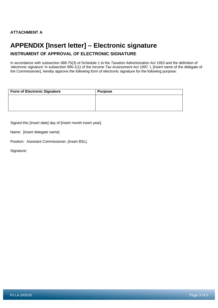## **APPENDIX [Insert letter] – Electronic signature**

### **INSTRUMENT OF APPROVAL OF ELECTRONIC SIGNATURE**

In accordance with subsection 388-75(3) of Schedule 1 to the *Taxation Administration Act 1953* and the definition of 'electronic signature' in subsection 995-1(1) of the *Income Tax Assessment Act 1997*, I, [insert name of the delegate of the Commissioner], hereby approve the following form of electronic signature for the following purpose:

| <b>Form of Electronic Signature</b> | <b>Purpose</b> |
|-------------------------------------|----------------|
|                                     |                |
|                                     |                |
|                                     |                |

Signed this [insert date] day of [insert month insert year].

Name: [insert delegate name]

Position: Assistant Commissioner, [insert BSL].

Signature: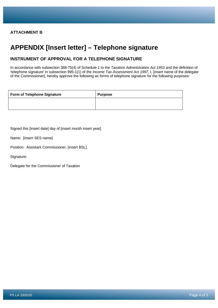## **APPENDIX [Insert letter] – Telephone signature**

### **INSTRUMENT OF APPROVAL FOR A TELEPHONE SIGNATURE**

In accordance with subsection 388-75(4) of Schedule 1 to the *Taxation Administration Act 1953* and the definition of 'telephone signature' in subsection 995-1(1) of *the Income Tax Assessment Act 1997*, I, [insert name of the delegate of the Commissioner], hereby approve the following as forms of telephone signature for the following purposes:

| <b>Form of Telephone Signature</b> | <b>Purpose</b> |
|------------------------------------|----------------|
|                                    |                |

Signed this [insert date] day of [insert month insert year].

Name: [insert SES name]

Position: Assistant Commissioner, [insert BSL].

Signature:

Delegate for the Commissioner of Taxation